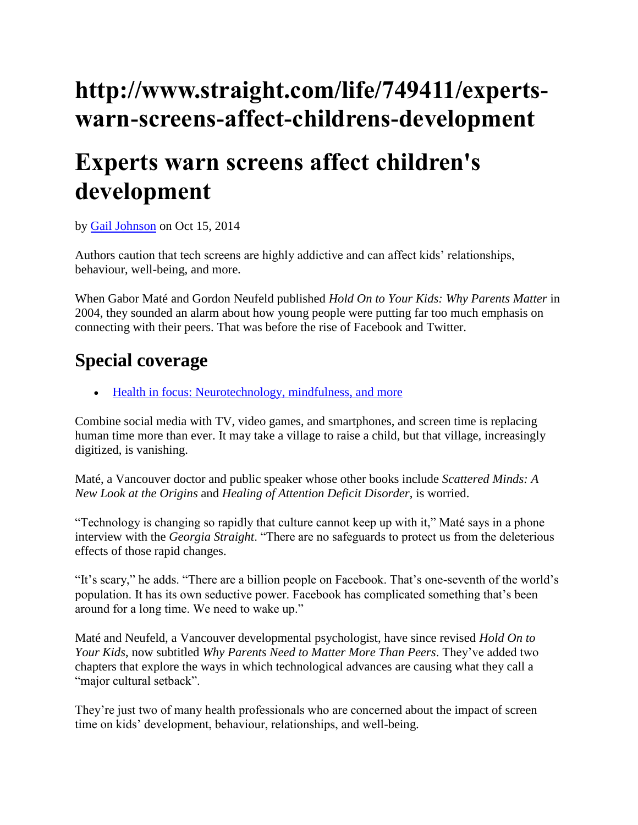## **http://www.straight.com/life/749411/expertswarn-screens-affect-childrens-development**

## **Experts warn screens affect children's development**

by [Gail Johnson](http://www.straight.com/user/25825) on Oct 15, 2014

Authors caution that tech screens are highly addictive and can affect kids' relationships, behaviour, well-being, and more.

When Gabor Maté and Gordon Neufeld published *Hold On to Your Kids: Why Parents Matter* in 2004, they sounded an alarm about how young people were putting far too much emphasis on connecting with their peers. That was before the rise of Facebook and Twitter.

## **Special coverage**

[Health in focus: Neurotechnology, mindfulness, and more](http://www.straight.com/life/751056/health-focus-neurotechnology-mindfulness-and-more)

Combine social media with TV, video games, and smartphones, and screen time is replacing human time more than ever. It may take a village to raise a child, but that village, increasingly digitized, is vanishing.

Maté, a Vancouver doctor and public speaker whose other books include *Scattered Minds: A New Look at the Origins* and *Healing of Attention Deficit Disorder*, is worried.

"Technology is changing so rapidly that culture cannot keep up with it," Maté says in a phone interview with the *Georgia Straight*. "There are no safeguards to protect us from the deleterious effects of those rapid changes.

"It's scary," he adds. "There are a billion people on Facebook. That's one-seventh of the world's population. It has its own seductive power. Facebook has complicated something that's been around for a long time. We need to wake up."

Maté and Neufeld, a Vancouver developmental psychologist, have since revised *Hold On to Your Kids*, now subtitled *Why Parents Need to Matter More Than Peers*. They've added two chapters that explore the ways in which technological advances are causing what they call a "major cultural setback".

They're just two of many health professionals who are concerned about the impact of screen time on kids' development, behaviour, relationships, and well-being.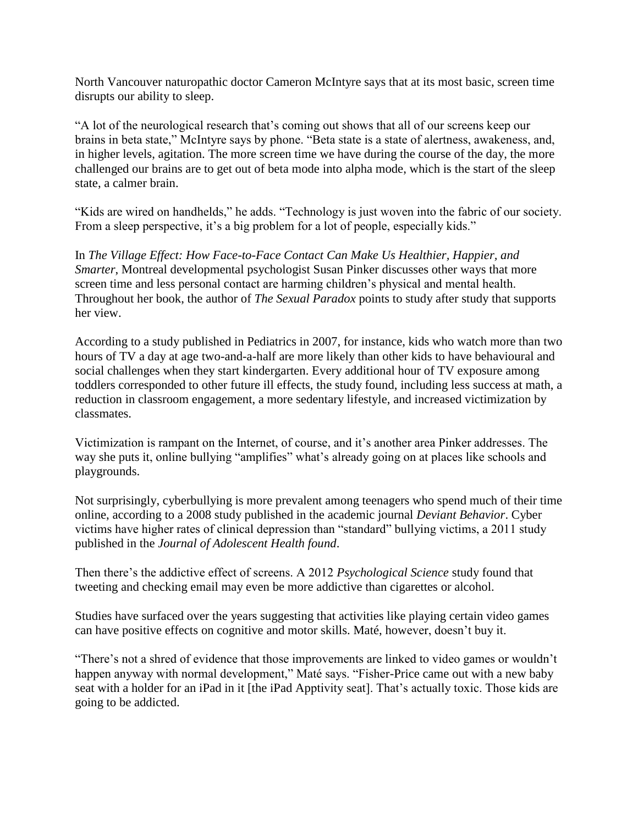North Vancouver naturopathic doctor Cameron McIntyre says that at its most basic, screen time disrupts our ability to sleep.

"A lot of the neurological research that's coming out shows that all of our screens keep our brains in beta state," McIntyre says by phone. "Beta state is a state of alertness, awakeness, and, in higher levels, agitation. The more screen time we have during the course of the day, the more challenged our brains are to get out of beta mode into alpha mode, which is the start of the sleep state, a calmer brain.

"Kids are wired on handhelds," he adds. "Technology is just woven into the fabric of our society. From a sleep perspective, it's a big problem for a lot of people, especially kids."

In *The Village Effect: How Face-to-Face Contact Can Make Us Healthier, Happier, and Smarter*, Montreal developmental psychologist Susan Pinker discusses other ways that more screen time and less personal contact are harming children's physical and mental health. Throughout her book, the author of *The Sexual Paradox* points to study after study that supports her view.

According to a study published in Pediatrics in 2007, for instance, kids who watch more than two hours of TV a day at age two-and-a-half are more likely than other kids to have behavioural and social challenges when they start kindergarten. Every additional hour of TV exposure among toddlers corresponded to other future ill effects, the study found, including less success at math, a reduction in classroom engagement, a more sedentary lifestyle, and increased victimization by classmates.

Victimization is rampant on the Internet, of course, and it's another area Pinker addresses. The way she puts it, online bullying "amplifies" what's already going on at places like schools and playgrounds.

Not surprisingly, cyberbullying is more prevalent among teenagers who spend much of their time online, according to a 2008 study published in the academic journal *Deviant Behavior*. Cyber victims have higher rates of clinical depression than "standard" bullying victims, a 2011 study published in the *Journal of Adolescent Health found*.

Then there's the addictive effect of screens. A 2012 *Psychological Science* study found that tweeting and checking email may even be more addictive than cigarettes or alcohol.

Studies have surfaced over the years suggesting that activities like playing certain video games can have positive effects on cognitive and motor skills. Maté, however, doesn't buy it.

"There's not a shred of evidence that those improvements are linked to video games or wouldn't happen anyway with normal development," Maté says. "Fisher-Price came out with a new baby seat with a holder for an iPad in it [the iPad Apptivity seat]. That's actually toxic. Those kids are going to be addicted.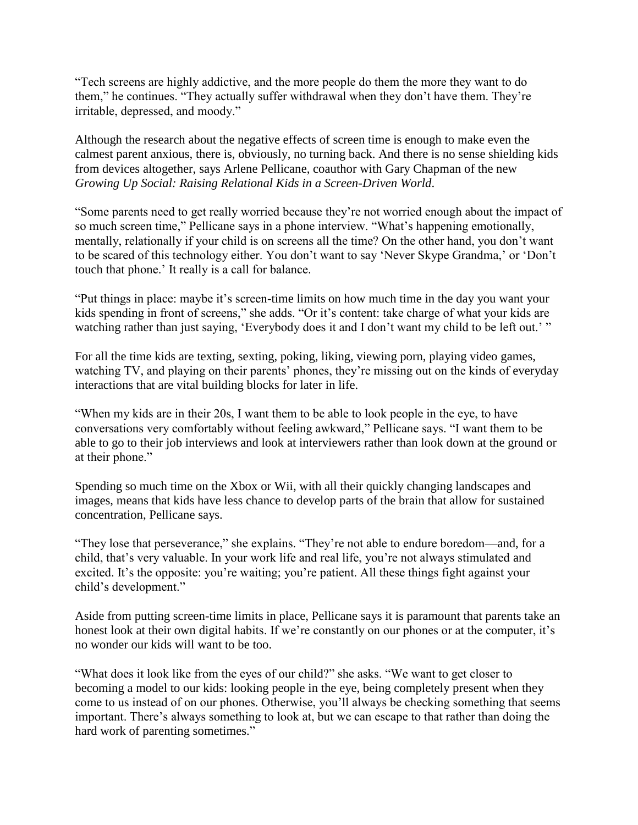"Tech screens are highly addictive, and the more people do them the more they want to do them," he continues. "They actually suffer withdrawal when they don't have them. They're irritable, depressed, and moody."

Although the research about the negative effects of screen time is enough to make even the calmest parent anxious, there is, obviously, no turning back. And there is no sense shielding kids from devices altogether, says Arlene Pellicane, coauthor with Gary Chapman of the new *Growing Up Social: Raising Relational Kids in a Screen-Driven World*.

"Some parents need to get really worried because they're not worried enough about the impact of so much screen time," Pellicane says in a phone interview. "What's happening emotionally, mentally, relationally if your child is on screens all the time? On the other hand, you don't want to be scared of this technology either. You don't want to say 'Never Skype Grandma,' or 'Don't touch that phone.' It really is a call for balance.

"Put things in place: maybe it's screen-time limits on how much time in the day you want your kids spending in front of screens," she adds. "Or it's content: take charge of what your kids are watching rather than just saying, 'Everybody does it and I don't want my child to be left out.' "

For all the time kids are texting, sexting, poking, liking, viewing porn, playing video games, watching TV, and playing on their parents' phones, they're missing out on the kinds of everyday interactions that are vital building blocks for later in life.

"When my kids are in their 20s, I want them to be able to look people in the eye, to have conversations very comfortably without feeling awkward," Pellicane says. "I want them to be able to go to their job interviews and look at interviewers rather than look down at the ground or at their phone."

Spending so much time on the Xbox or Wii, with all their quickly changing landscapes and images, means that kids have less chance to develop parts of the brain that allow for sustained concentration, Pellicane says.

"They lose that perseverance," she explains. "They're not able to endure boredom—and, for a child, that's very valuable. In your work life and real life, you're not always stimulated and excited. It's the opposite: you're waiting; you're patient. All these things fight against your child's development."

Aside from putting screen-time limits in place, Pellicane says it is paramount that parents take an honest look at their own digital habits. If we're constantly on our phones or at the computer, it's no wonder our kids will want to be too.

"What does it look like from the eyes of our child?" she asks. "We want to get closer to becoming a model to our kids: looking people in the eye, being completely present when they come to us instead of on our phones. Otherwise, you'll always be checking something that seems important. There's always something to look at, but we can escape to that rather than doing the hard work of parenting sometimes."